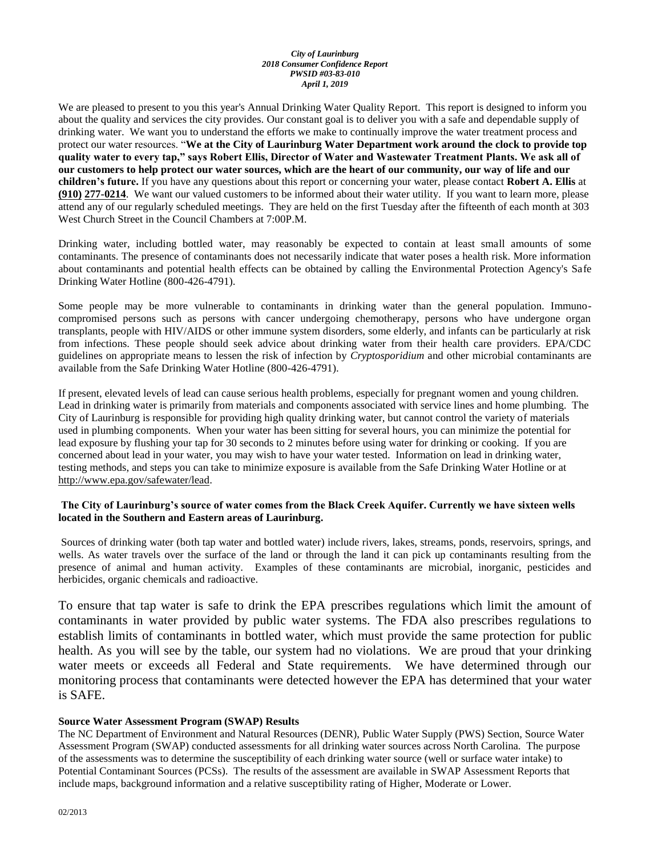#### *City of Laurinburg 2018 Consumer Confidence Report PWSID #03-83-010 April 1, 2019*

We are pleased to present to you this year's Annual Drinking Water Quality Report. This report is designed to inform you about the quality and services the city provides. Our constant goal is to deliver you with a safe and dependable supply of drinking water. We want you to understand the efforts we make to continually improve the water treatment process and protect our water resources. "**We at the City of Laurinburg Water Department work around the clock to provide top quality water to every tap," says Robert Ellis, Director of Water and Wastewater Treatment Plants. We ask all of our customers to help protect our water sources, which are the heart of our community, our way of life and our children's future.** If you have any questions about this report or concerning your water, please contact **Robert A. Ellis** at **(910) 277-0214**. We want our valued customers to be informed about their water utility. If you want to learn more, please attend any of our regularly scheduled meetings. They are held on the first Tuesday after the fifteenth of each month at 303 West Church Street in the Council Chambers at 7:00P.M.

Drinking water, including bottled water, may reasonably be expected to contain at least small amounts of some contaminants. The presence of contaminants does not necessarily indicate that water poses a health risk. More information about contaminants and potential health effects can be obtained by calling the Environmental Protection Agency's Safe Drinking Water Hotline (800-426-4791).

Some people may be more vulnerable to contaminants in drinking water than the general population. Immunocompromised persons such as persons with cancer undergoing chemotherapy, persons who have undergone organ transplants, people with HIV/AIDS or other immune system disorders, some elderly, and infants can be particularly at risk from infections. These people should seek advice about drinking water from their health care providers. EPA/CDC guidelines on appropriate means to lessen the risk of infection by *Cryptosporidium* and other microbial contaminants are available from the Safe Drinking Water Hotline (800-426-4791).

If present, elevated levels of lead can cause serious health problems, especially for pregnant women and young children. Lead in drinking water is primarily from materials and components associated with service lines and home plumbing. The City of Laurinburg is responsible for providing high quality drinking water, but cannot control the variety of materials used in plumbing components. When your water has been sitting for several hours, you can minimize the potential for lead exposure by flushing your tap for 30 seconds to 2 minutes before using water for drinking or cooking. If you are concerned about lead in your water, you may wish to have your water tested. Information on lead in drinking water, testing methods, and steps you can take to minimize exposure is available from the Safe Drinking Water Hotline or at [http://www.epa.gov/safewater/lead.](http://www.epa.gov/safewater/lead)

### **The City of Laurinburg's source of water comes from the Black Creek Aquifer. Currently we have sixteen wells located in the Southern and Eastern areas of Laurinburg.**

Sources of drinking water (both tap water and bottled water) include rivers, lakes, streams, ponds, reservoirs, springs, and wells. As water travels over the surface of the land or through the land it can pick up contaminants resulting from the presence of animal and human activity. Examples of these contaminants are microbial, inorganic, pesticides and herbicides, organic chemicals and radioactive.

To ensure that tap water is safe to drink the EPA prescribes regulations which limit the amount of contaminants in water provided by public water systems. The FDA also prescribes regulations to establish limits of contaminants in bottled water, which must provide the same protection for public health. As you will see by the table, our system had no violations. We are proud that your drinking water meets or exceeds all Federal and State requirements. We have determined through our monitoring process that contaminants were detected however the EPA has determined that your water is SAFE.

### **Source Water Assessment Program (SWAP) Results**

The NC Department of Environment and Natural Resources (DENR), Public Water Supply (PWS) Section, Source Water Assessment Program (SWAP) conducted assessments for all drinking water sources across North Carolina. The purpose of the assessments was to determine the susceptibility of each drinking water source (well or surface water intake) to Potential Contaminant Sources (PCSs). The results of the assessment are available in SWAP Assessment Reports that include maps, background information and a relative susceptibility rating of Higher, Moderate or Lower.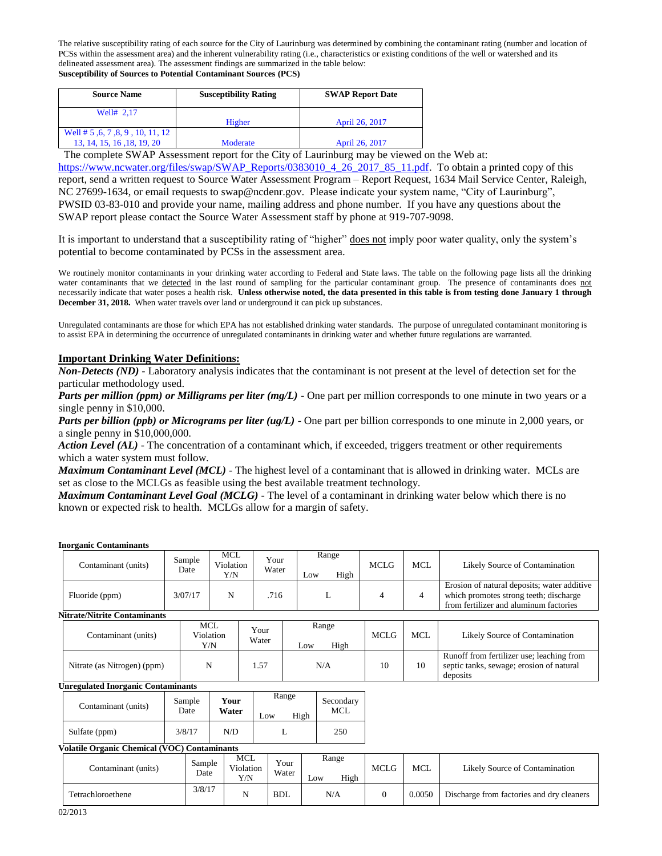The relative susceptibility rating of each source for the City of Laurinburg was determined by combining the contaminant rating (number and location of PCSs within the assessment area) and the inherent vulnerability rating (i.e., characteristics or existing conditions of the well or watershed and its delineated assessment area). The assessment findings are summarized in the table below: **Susceptibility of Sources to Potential Contaminant Sources (PCS)**

| <b>Source Name</b>                 | <b>Susceptibility Rating</b> | <b>SWAP Report Date</b> |  |  |
|------------------------------------|------------------------------|-------------------------|--|--|
| Well# 2.17                         |                              |                         |  |  |
|                                    | Higher                       | April 26, 2017          |  |  |
| Well # $5, 6, 7, 8, 9, 10, 11, 12$ |                              |                         |  |  |
| 13, 14, 15, 16, 18, 19, 20         | Moderate                     | April 26, 2017          |  |  |

The complete SWAP Assessment report for the City of Laurinburg may be viewed on the Web at:

[https://www.ncwater.org/files/swap/SWAP\\_Reports/0383010\\_4\\_26\\_2017\\_85\\_11.pdf.](https://www.ncwater.org/files/swap/SWAP_Reports/0383010_4_26_2017_85_11.pdf) To obtain a printed copy of this report, send a written request to Source Water Assessment Program – Report Request, 1634 Mail Service Center, Raleigh, NC 27699-1634, or email requests to swap@ncdenr.gov. Please indicate your system name, "City of Laurinburg", PWSID 03-83-010 and provide your name, mailing address and phone number. If you have any questions about the SWAP report please contact the Source Water Assessment staff by phone at 919-707-9098.

It is important to understand that a susceptibility rating of "higher" does not imply poor water quality, only the system's potential to become contaminated by PCSs in the assessment area.

We routinely monitor contaminants in your drinking water according to Federal and State laws. The table on the following page lists all the drinking water contaminants that we detected in the last round of sampling for the particular contaminant group. The presence of contaminants does not necessarily indicate that water poses a health risk. **Unless otherwise noted, the data presented in this table is from testing done January 1 through December 31, 2018.** When water travels over land or underground it can pick up substances.

Unregulated contaminants are those for which EPA has not established drinking water standards. The purpose of unregulated contaminant monitoring is to assist EPA in determining the occurrence of unregulated contaminants in drinking water and whether future regulations are warranted.

### **Important Drinking Water Definitions:**

*Non-Detects (ND)* - Laboratory analysis indicates that the contaminant is not present at the level of detection set for the particular methodology used.

*Parts per million (ppm) or Milligrams per liter (mg/L)* - One part per million corresponds to one minute in two years or a single penny in \$10,000.

*Parts per billion (ppb) or Micrograms per liter (ug/L)* - One part per billion corresponds to one minute in 2,000 years, or a single penny in \$10,000,000.

*Action Level (AL) -* The concentration of a contaminant which, if exceeded, triggers treatment or other requirements which a water system must follow.

*Maximum Contaminant Level (MCL)* - The highest level of a contaminant that is allowed in drinking water. MCLs are set as close to the MCLGs as feasible using the best available treatment technology.

*Maximum Contaminant Level Goal (MCLG)* - The level of a contaminant in drinking water below which there is no known or expected risk to health. MCLGs allow for a margin of safety.

| <b>Inorganic Contaminants</b> |
|-------------------------------|
|                               |

| Contaminant (units)                                 |                                | Sample<br>Date | <b>MCL</b><br>Violation<br>Y/N |                                | Your<br>Water |   | Low                  | Range          | High        | <b>MCLG</b>                                                                                                                     | <b>MCL</b>                     | Likely Source of Contamination            |                                                                                                   |  |  |  |
|-----------------------------------------------------|--------------------------------|----------------|--------------------------------|--------------------------------|---------------|---|----------------------|----------------|-------------|---------------------------------------------------------------------------------------------------------------------------------|--------------------------------|-------------------------------------------|---------------------------------------------------------------------------------------------------|--|--|--|
| Fluoride (ppm)                                      | N<br>3/07/17                   |                |                                | .716                           |               | L |                      | $\overline{4}$ | 4           | Erosion of natural deposits; water additive<br>which promotes strong teeth; discharge<br>from fertilizer and aluminum factories |                                |                                           |                                                                                                   |  |  |  |
| <b>Nitrate/Nitrite Contaminants</b>                 |                                |                |                                |                                |               |   |                      |                |             |                                                                                                                                 |                                |                                           |                                                                                                   |  |  |  |
| Contaminant (units)                                 | <b>MCL</b><br>Violation<br>Y/N |                |                                | Your<br>Water                  |               |   | Range<br>High<br>Low |                | <b>MCLG</b> | <b>MCL</b>                                                                                                                      | Likely Source of Contamination |                                           |                                                                                                   |  |  |  |
| Nitrate (as Nitrogen) (ppm)                         |                                | N              |                                |                                | 1.57          |   |                      |                | N/A         |                                                                                                                                 | 10                             | 10                                        | Runoff from fertilizer use; leaching from<br>septic tanks, sewage; erosion of natural<br>deposits |  |  |  |
| <b>Unregulated Inorganic Contaminants</b>           |                                |                |                                |                                |               |   |                      |                |             |                                                                                                                                 |                                |                                           |                                                                                                   |  |  |  |
| Contaminant (units)                                 |                                | Sample<br>Date | Your<br>Water                  |                                | Low           |   | Range<br>High        |                |             |                                                                                                                                 | Secondary<br><b>MCL</b>        |                                           |                                                                                                   |  |  |  |
| Sulfate (ppm)                                       |                                | 3/8/17         | N/D                            |                                | L             |   |                      |                |             |                                                                                                                                 |                                |                                           | 250                                                                                               |  |  |  |
| <b>Volatile Organic Chemical (VOC) Contaminants</b> |                                |                |                                |                                |               |   |                      |                |             |                                                                                                                                 |                                |                                           |                                                                                                   |  |  |  |
| Contaminant (units)                                 |                                | Sample<br>Date |                                | <b>MCL</b><br>Violation<br>Y/N | Your<br>Water |   | Low                  | Range          | High        | <b>MCLG</b>                                                                                                                     | <b>MCL</b>                     | Likely Source of Contamination            |                                                                                                   |  |  |  |
| Tetrachloroethene                                   |                                | 3/8/17         |                                | N                              | <b>BDL</b>    |   |                      | N/A            |             | $\mathbf{0}$                                                                                                                    | 0.0050                         | Discharge from factories and dry cleaners |                                                                                                   |  |  |  |